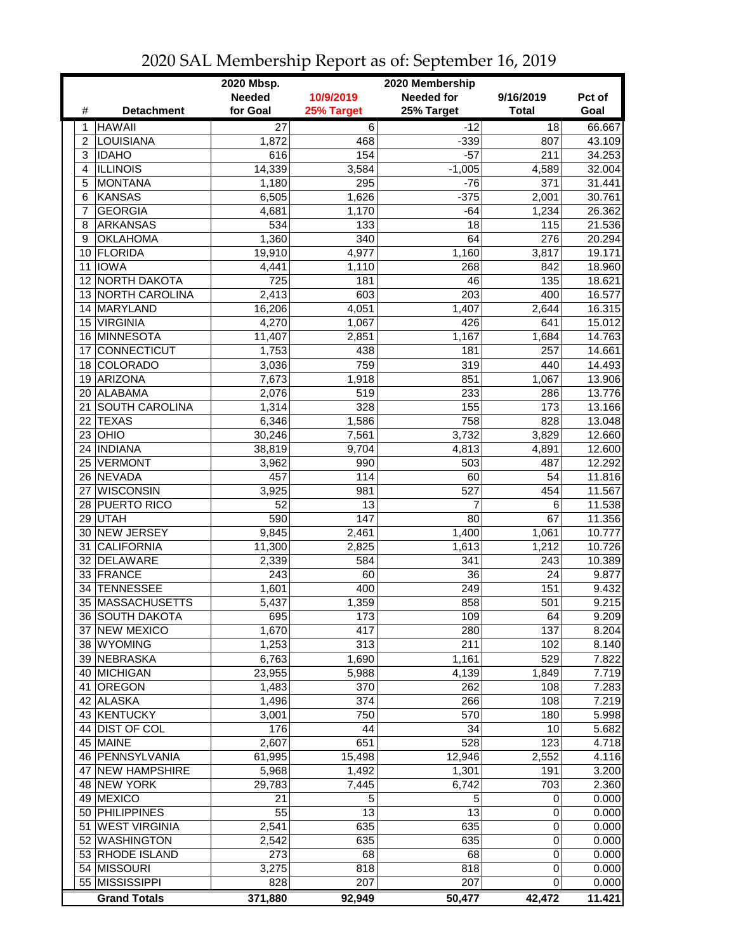|                 |                       | 2020 Mbsp.      | 2020 Membership |                   |              |        |  |
|-----------------|-----------------------|-----------------|-----------------|-------------------|--------------|--------|--|
|                 |                       | <b>Needed</b>   | 10/9/2019       | <b>Needed for</b> | 9/16/2019    | Pct of |  |
| #               | <b>Detachment</b>     | for Goal        | 25% Target      | 25% Target        | <b>Total</b> | Goal   |  |
| 1               | <b>HAWAII</b>         | $\overline{27}$ | $\overline{6}$  | $-12$             | 18           | 66.667 |  |
| $\overline{2}$  | LOUISIANA             | 1,872           | 468             | $-339$            | 807          | 43.109 |  |
| 3               | <b>IDAHO</b>          | 616             | 154             | $-57$             | 211          | 34.253 |  |
| 4               | <b>ILLINOIS</b>       | 14,339          | 3,584           | $-1,005$          | 4,589        | 32.004 |  |
| 5               | <b>MONTANA</b>        | 1,180           | 295             | $-76$             | 371          | 31.441 |  |
| 6               | <b>KANSAS</b>         | 6,505           | 1,626           | $-375$            | 2,001        | 30.761 |  |
| 7               | <b>GEORGIA</b>        | 4,681           | 1,170           | $-64$             | 1,234        | 26.362 |  |
| 8               | <b>ARKANSAS</b>       | 534             | 133             | 18                | 115          | 21.536 |  |
| 9               | <b>OKLAHOMA</b>       | 1,360           | 340             | 64                | 276          | 20.294 |  |
|                 | 10 FLORIDA            | 19,910          | 4,977           | 1,160             | 3,817        | 19.171 |  |
|                 | 11 IOWA               | 4,441           | 1,110           | 268               | 842          | 18.960 |  |
|                 | 12 NORTH DAKOTA       | 725             | 181             | 46                | 135          | 18.621 |  |
|                 | 13 NORTH CAROLINA     | 2,413           | 603             | 203               | 400          | 16.577 |  |
|                 | 14 MARYLAND           | 16,206          | 4,051           | 1,407             | 2,644        | 16.315 |  |
| 15 <sup>1</sup> | <b>VIRGINIA</b>       | 4,270           | 1,067           | 426               | 641          | 15.012 |  |
|                 | 16 MINNESOTA          | 11,407          | 2,851           | 1,167             | 1,684        | 14.763 |  |
| 17              | <b>CONNECTICUT</b>    | 1,753           | 438             | 181               | 257          | 14.661 |  |
|                 | 18 COLORADO           | 3,036           | 759             | 319               | 440          | 14.493 |  |
| 19              | <b>ARIZONA</b>        | 7,673           | 1,918           | 851               | 1,067        | 13.906 |  |
|                 | 20 ALABAMA            | 2,076           | 519             | 233               | 286          | 13.776 |  |
| 21              | <b>SOUTH CAROLINA</b> | 1,314           | 328             | 155               | 173          | 13.166 |  |
| 22              | <b>TEXAS</b>          | 6,346           | 1,586           | 758               | 828          | 13.048 |  |
| 23              | OHIO                  | 30,246          | 7,561           | 3,732             | 3,829        | 12.660 |  |
|                 | 24   INDIANA          | 38,819          | 9,704           | 4,813             | 4,891        | 12.600 |  |
| 25              | VERMONT               | 3,962           | 990             | 503               | 487          | 12.292 |  |
|                 | 26 NEVADA             | 457             | 114             | 60                | 54           | 11.816 |  |
| 27              | <b>WISCONSIN</b>      | 3,925           | 981             | $\overline{527}$  | 454          | 11.567 |  |
|                 | 28 PUERTO RICO        | 52              | 13              | 7                 | 6            | 11.538 |  |
|                 | 29 UTAH               | 590             | 147             | 80                | 67           | 11.356 |  |
|                 | 30 NEW JERSEY         | 9,845           | 2,461           | 1,400             | 1,061        | 10.777 |  |
| 31              | <b>CALIFORNIA</b>     | 11,300          | 2,825           | 1,613             | 1,212        | 10.726 |  |
| 32              | DELAWARE              | 2,339           | 584             | 341               | 243          | 10.389 |  |
|                 | 33 FRANCE             | 243             | 60              | 36                | 24           | 9.877  |  |
| 34              | <b>TENNESSEE</b>      | 1,601           | 400             | 249               | 151          | 9.432  |  |
|                 | 35 MASSACHUSETTS      | 5,437           | 1,359           | 858               | 501          | 9.215  |  |
|                 | 36 SOUTH DAKOTA       | 695             | 173             | 109               | 64           | 9.209  |  |
|                 | 37 NEW MEXICO         | 1,670           | 417             | 280               | 137          | 8.204  |  |
|                 | 38 WYOMING            | 1,253           | 313             | 211               | 102          | 8.140  |  |
|                 | 39 NEBRASKA           | 6,763           | 1,690           | 1,161             | 529          | 7.822  |  |
|                 | 40 MICHIGAN           | 23,955          | 5,988           | 4,139             | 1,849        | 7.719  |  |
| 41              | <b>OREGON</b>         | 1,483           | 370             | 262               | 108          | 7.283  |  |
|                 | 42 ALASKA             | 1,496           | 374             | 266               | 108          | 7.219  |  |
|                 | 43 KENTUCKY           | 3,001           | 750             | 570               | 180          | 5.998  |  |
|                 | 44 DIST OF COL        | 176             | 44              | 34                | 10           | 5.682  |  |
|                 | 45 MAINE              | 2,607           | 651             | 528               | 123          | 4.718  |  |
|                 | 46   PENNSYLVANIA     | 61,995          | 15,498          | 12,946            | 2,552        | 4.116  |  |
|                 | 47 NEW HAMPSHIRE      | 5,968           | 1,492           | 1,301             | 191          | 3.200  |  |
|                 | 48 NEW YORK           | 29,783          | 7,445           | 6,742             | 703          | 2.360  |  |
|                 | 49 MEXICO             | 21              | 5               | 5                 | 0            | 0.000  |  |
|                 | 50 PHILIPPINES        | 55              | 13              | 13                | $\mathbf 0$  | 0.000  |  |
| 51              | <b>WEST VIRGINIA</b>  | 2,541           | 635             | 635               | 0            | 0.000  |  |
|                 | 52 WASHINGTON         | 2,542           | 635             | 635               | 0            | 0.000  |  |
|                 | 53 RHODE ISLAND       | 273             | 68              | 68                | 0            | 0.000  |  |
|                 | 54 MISSOURI           | 3,275           | 818             | 818               | 0            | 0.000  |  |
|                 | 55 MISSISSIPPI        | 828             | 207             | 207               | 0            | 0.000  |  |
|                 | <b>Grand Totals</b>   | 371,880         | 92,949          | 50,477            | 42,472       | 11.421 |  |

2020 SAL Membership Report as of: September 16, 2019